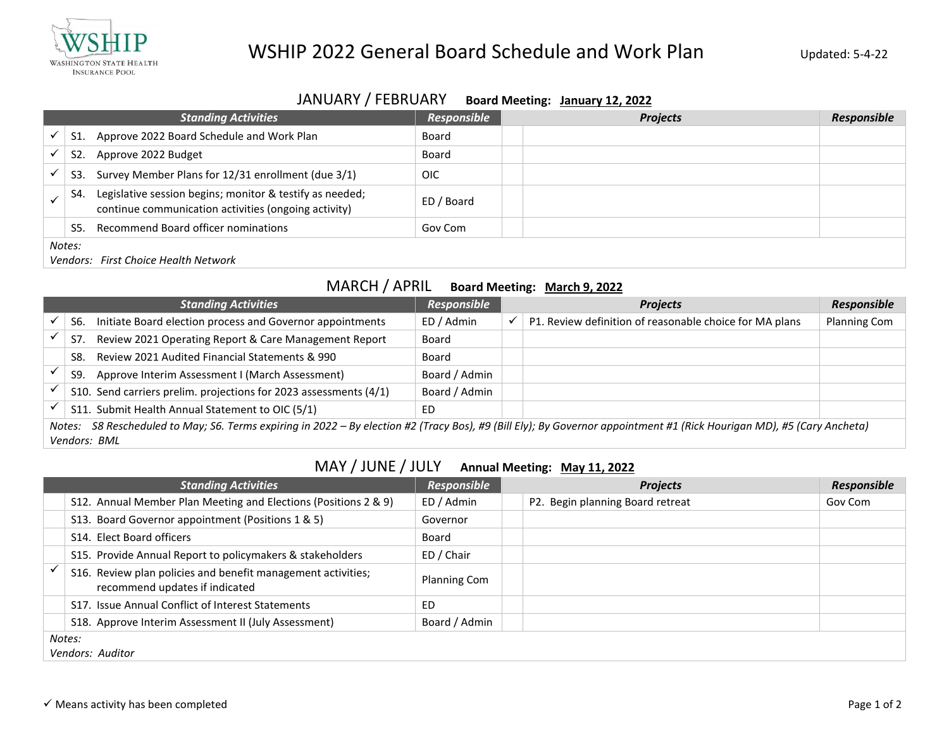

## WSHIP 2022 General Board Schedule and Work Plan Updated: 5-4-22

# JANUARY / FEBRUARY **Board Meeting: January 12, 2022**

|                                      | <b>Standing Activities</b>                                                                                       | Responsible |  | <b>Projects</b> | Responsible |  |  |
|--------------------------------------|------------------------------------------------------------------------------------------------------------------|-------------|--|-----------------|-------------|--|--|
| S1.                                  | Approve 2022 Board Schedule and Work Plan                                                                        | Board       |  |                 |             |  |  |
| S <sub>2</sub> .                     | Approve 2022 Budget                                                                                              | Board       |  |                 |             |  |  |
| S3.                                  | Survey Member Plans for 12/31 enrollment (due 3/1)                                                               | <b>OIC</b>  |  |                 |             |  |  |
| S4.                                  | Legislative session begins; monitor & testify as needed;<br>continue communication activities (ongoing activity) | ED / Board  |  |                 |             |  |  |
| S5.                                  | Recommend Board officer nominations                                                                              | Gov Com     |  |                 |             |  |  |
| Notes:                               |                                                                                                                  |             |  |                 |             |  |  |
| Vendors: First Choice Health Network |                                                                                                                  |             |  |                 |             |  |  |

#### MARCH / APRIL **Board Meeting: March 9, 2022**

| <b>Standing Activities</b>                                                                                                                                                |              | Responsible                                                       |               | <b>Projects</b> | <b>Responsible</b>                                      |              |  |  |
|---------------------------------------------------------------------------------------------------------------------------------------------------------------------------|--------------|-------------------------------------------------------------------|---------------|-----------------|---------------------------------------------------------|--------------|--|--|
|                                                                                                                                                                           | S6.          | Initiate Board election process and Governor appointments         | ED / Admin    | ✓               | P1. Review definition of reasonable choice for MA plans | Planning Com |  |  |
|                                                                                                                                                                           | S7.          | Review 2021 Operating Report & Care Management Report             | Board         |                 |                                                         |              |  |  |
|                                                                                                                                                                           | S8.          | Review 2021 Audited Financial Statements & 990                    | Board         |                 |                                                         |              |  |  |
|                                                                                                                                                                           | S9.          | Approve Interim Assessment I (March Assessment)                   | Board / Admin |                 |                                                         |              |  |  |
|                                                                                                                                                                           |              | S10. Send carriers prelim. projections for 2023 assessments (4/1) | Board / Admin |                 |                                                         |              |  |  |
|                                                                                                                                                                           |              | S11. Submit Health Annual Statement to OIC (5/1)                  | ED            |                 |                                                         |              |  |  |
| S8 Rescheduled to May; S6. Terms expiring in 2022 - By election #2 (Tracy Bos), #9 (Bill Ely); By Governor appointment #1 (Rick Hourigan MD), #5 (Cary Ancheta)<br>Notes: |              |                                                                   |               |                 |                                                         |              |  |  |
|                                                                                                                                                                           | Vendors: BML |                                                                   |               |                 |                                                         |              |  |  |

### MAY / JUNE / JULY **Annual Meeting: May 11, 2022**

| <b>Standing Activities</b>                                                                     | Responsible         |  | <b>Projects</b>                  | <b>Responsible</b> |  |  |  |
|------------------------------------------------------------------------------------------------|---------------------|--|----------------------------------|--------------------|--|--|--|
| S12. Annual Member Plan Meeting and Elections (Positions 2 & 9)                                | ED / Admin          |  | P2. Begin planning Board retreat | Gov Com            |  |  |  |
| S13. Board Governor appointment (Positions 1 & 5)                                              | Governor            |  |                                  |                    |  |  |  |
| S14. Elect Board officers                                                                      | Board               |  |                                  |                    |  |  |  |
| S15. Provide Annual Report to policymakers & stakeholders                                      | ED / Chair          |  |                                  |                    |  |  |  |
| S16. Review plan policies and benefit management activities;<br>recommend updates if indicated | <b>Planning Com</b> |  |                                  |                    |  |  |  |
| S17. Issue Annual Conflict of Interest Statements                                              | ED                  |  |                                  |                    |  |  |  |
| S18. Approve Interim Assessment II (July Assessment)                                           | Board / Admin       |  |                                  |                    |  |  |  |
| Notes:<br>Vendors: Auditor                                                                     |                     |  |                                  |                    |  |  |  |